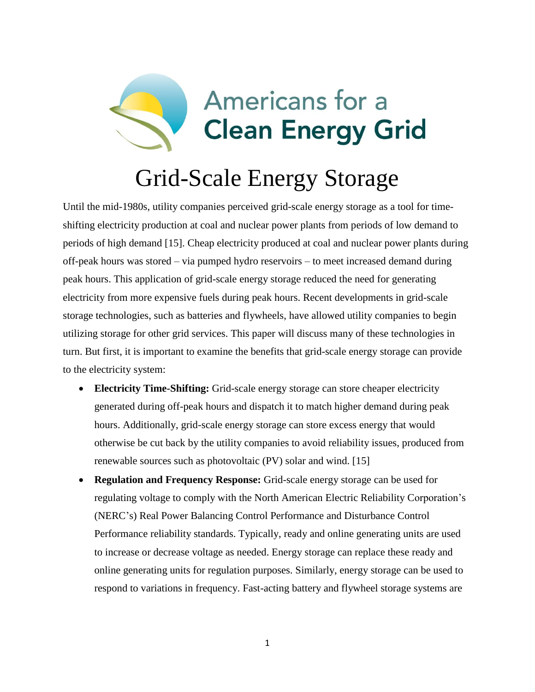

# Grid-Scale Energy Storage

Until the mid-1980s, utility companies perceived grid-scale energy storage as a tool for timeshifting electricity production at coal and nuclear power plants from periods of low demand to periods of high demand [15]. Cheap electricity produced at coal and nuclear power plants during off-peak hours was stored – via pumped hydro reservoirs – to meet increased demand during peak hours. This application of grid-scale energy storage reduced the need for generating electricity from more expensive fuels during peak hours. Recent developments in grid-scale storage technologies, such as batteries and flywheels, have allowed utility companies to begin utilizing storage for other grid services. This paper will discuss many of these technologies in turn. But first, it is important to examine the benefits that grid-scale energy storage can provide to the electricity system:

- **Electricity Time-Shifting:** Grid-scale energy storage can store cheaper electricity generated during off-peak hours and dispatch it to match higher demand during peak hours. Additionally, grid-scale energy storage can store excess energy that would otherwise be cut back by the utility companies to avoid reliability issues, produced from renewable sources such as photovoltaic (PV) solar and wind. [15]
- **Regulation and Frequency Response:** Grid-scale energy storage can be used for regulating voltage to comply with the North American Electric Reliability Corporation's (NERC's) Real Power Balancing Control Performance and Disturbance Control Performance reliability standards. Typically, ready and online generating units are used to increase or decrease voltage as needed. Energy storage can replace these ready and online generating units for regulation purposes. Similarly, energy storage can be used to respond to variations in frequency. Fast-acting battery and flywheel storage systems are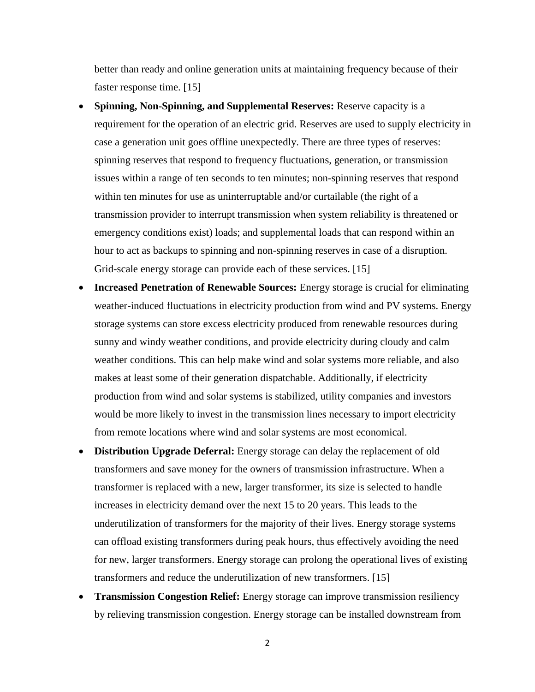better than ready and online generation units at maintaining frequency because of their faster response time. [15]

- **Spinning, Non-Spinning, and Supplemental Reserves:** Reserve capacity is a requirement for the operation of an electric grid. Reserves are used to supply electricity in case a generation unit goes offline unexpectedly. There are three types of reserves: spinning reserves that respond to frequency fluctuations, generation, or transmission issues within a range of ten seconds to ten minutes; non-spinning reserves that respond within ten minutes for use as uninterruptable and/or curtailable (the right of a transmission provider to interrupt transmission when system reliability is threatened or emergency conditions exist) loads; and supplemental loads that can respond within an hour to act as backups to spinning and non-spinning reserves in case of a disruption. Grid-scale energy storage can provide each of these services. [15]
- **Increased Penetration of Renewable Sources:** Energy storage is crucial for eliminating weather-induced fluctuations in electricity production from wind and PV systems. Energy storage systems can store excess electricity produced from renewable resources during sunny and windy weather conditions, and provide electricity during cloudy and calm weather conditions. This can help make wind and solar systems more reliable, and also makes at least some of their generation dispatchable. Additionally, if electricity production from wind and solar systems is stabilized, utility companies and investors would be more likely to invest in the transmission lines necessary to import electricity from remote locations where wind and solar systems are most economical.
- **Distribution Upgrade Deferral:** Energy storage can delay the replacement of old transformers and save money for the owners of transmission infrastructure. When a transformer is replaced with a new, larger transformer, its size is selected to handle increases in electricity demand over the next 15 to 20 years. This leads to the underutilization of transformers for the majority of their lives. Energy storage systems can offload existing transformers during peak hours, thus effectively avoiding the need for new, larger transformers. Energy storage can prolong the operational lives of existing transformers and reduce the underutilization of new transformers. [15]
- **Transmission Congestion Relief:** Energy storage can improve transmission resiliency by relieving transmission congestion. Energy storage can be installed downstream from

2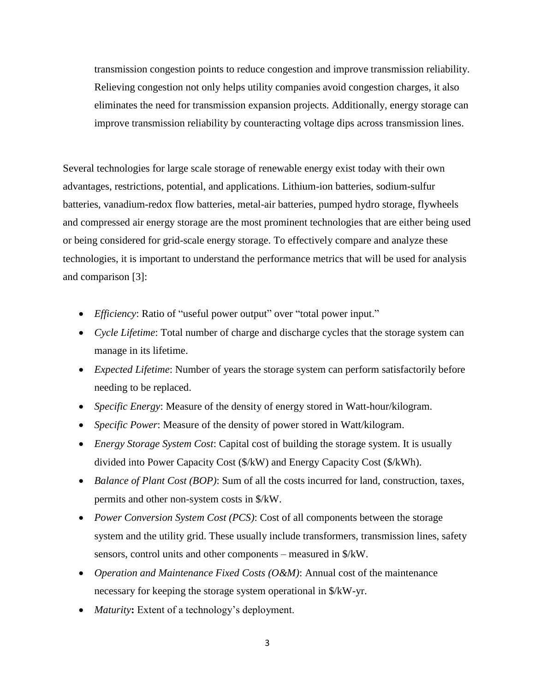transmission congestion points to reduce congestion and improve transmission reliability. Relieving congestion not only helps utility companies avoid congestion charges, it also eliminates the need for transmission expansion projects. Additionally, energy storage can improve transmission reliability by counteracting voltage dips across transmission lines.

Several technologies for large scale storage of renewable energy exist today with their own advantages, restrictions, potential, and applications. Lithium-ion batteries, sodium-sulfur batteries, vanadium-redox flow batteries, metal-air batteries, pumped hydro storage, flywheels and compressed air energy storage are the most prominent technologies that are either being used or being considered for grid-scale energy storage. To effectively compare and analyze these technologies, it is important to understand the performance metrics that will be used for analysis and comparison [3]:

- *Efficiency*: Ratio of "useful power output" over "total power input."
- *Cycle Lifetime*: Total number of charge and discharge cycles that the storage system can manage in its lifetime.
- *Expected Lifetime*: Number of years the storage system can perform satisfactorily before needing to be replaced.
- *Specific Energy*: Measure of the density of energy stored in Watt-hour/kilogram.
- *Specific Power*: Measure of the density of power stored in Watt/kilogram.
- *Energy Storage System Cost*: Capital cost of building the storage system. It is usually divided into Power Capacity Cost (\$/kW) and Energy Capacity Cost (\$/kWh).
- *Balance of Plant Cost (BOP)*: Sum of all the costs incurred for land, construction, taxes, permits and other non-system costs in \$/kW.
- *Power Conversion System Cost (PCS)*: Cost of all components between the storage system and the utility grid. These usually include transformers, transmission lines, safety sensors, control units and other components – measured in \$/kW.
- *Operation and Maintenance Fixed Costs (O&M)*: Annual cost of the maintenance necessary for keeping the storage system operational in \$/kW-yr.
- *Maturity***:** Extent of a technology's deployment.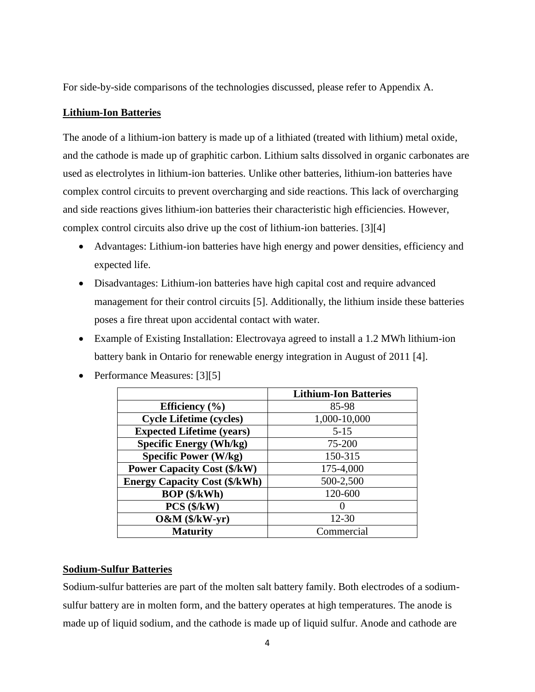For side-by-side comparisons of the technologies discussed, please refer to Appendix A.

# **Lithium-Ion Batteries**

The anode of a lithium-ion battery is made up of a lithiated (treated with lithium) metal oxide, and the cathode is made up of graphitic carbon. Lithium salts dissolved in organic carbonates are used as electrolytes in lithium-ion batteries. Unlike other batteries, lithium-ion batteries have complex control circuits to prevent overcharging and side reactions. This lack of overcharging and side reactions gives lithium-ion batteries their characteristic high efficiencies. However, complex control circuits also drive up the cost of lithium-ion batteries. [3][4]

- Advantages: Lithium-ion batteries have high energy and power densities, efficiency and expected life.
- Disadvantages: Lithium-ion batteries have high capital cost and require advanced management for their control circuits [5]. Additionally, the lithium inside these batteries poses a fire threat upon accidental contact with water.
- Example of Existing Installation: Electrovaya agreed to install a 1.2 MWh lithium-ion battery bank in Ontario for renewable energy integration in August of 2011 [4].

|                                      | <b>Lithium-Ion Batteries</b> |
|--------------------------------------|------------------------------|
| Efficiency $(\% )$                   | 85-98                        |
| <b>Cycle Lifetime (cycles)</b>       | 1,000-10,000                 |
| <b>Expected Lifetime (years)</b>     | $5 - 15$                     |
| <b>Specific Energy (Wh/kg)</b>       | 75-200                       |
| <b>Specific Power (W/kg)</b>         | 150-315                      |
| <b>Power Capacity Cost (\$/kW)</b>   | 175-4,000                    |
| <b>Energy Capacity Cost (\$/kWh)</b> | 500-2,500                    |
| <b>BOP</b> (\$/kWh)                  | 120-600                      |
| $PCS$ ( $\frac{K}{W}$ )              |                              |
| $O&M(S/kW-yr)$                       | $12 - 30$                    |
| <b>Maturity</b>                      | Commercial                   |

• Performance Measures: [3][5]

#### **Sodium-Sulfur Batteries**

Sodium-sulfur batteries are part of the molten salt battery family. Both electrodes of a sodiumsulfur battery are in molten form, and the battery operates at high temperatures. The anode is made up of liquid sodium, and the cathode is made up of liquid sulfur. Anode and cathode are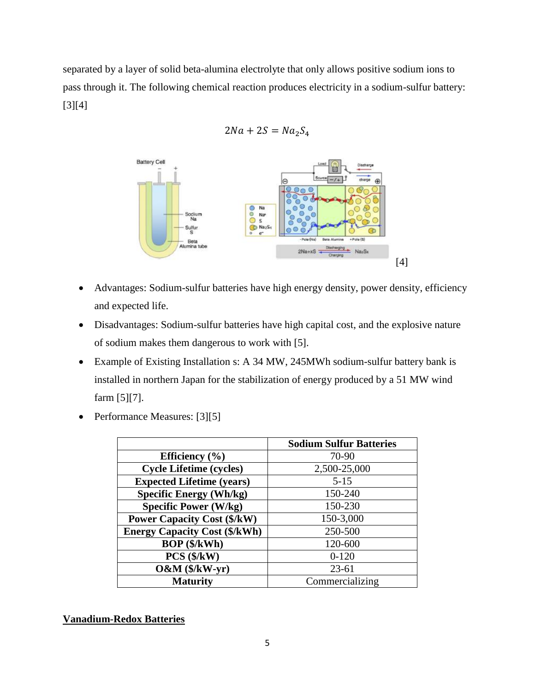separated by a layer of solid beta-alumina electrolyte that only allows positive sodium ions to pass through it. The following chemical reaction produces electricity in a sodium-sulfur battery: [3][4]

$$
2Na + 2S = Na_2S_4
$$



- Advantages: Sodium-sulfur batteries have high energy density, power density, efficiency and expected life.
- Disadvantages: Sodium-sulfur batteries have high capital cost, and the explosive nature of sodium makes them dangerous to work with [5].
- Example of Existing Installation s: A 34 MW, 245MWh sodium-sulfur battery bank is installed in northern Japan for the stabilization of energy produced by a 51 MW wind farm [5][7].
- Performance Measures: [3][5]

|                                      | <b>Sodium Sulfur Batteries</b> |  |
|--------------------------------------|--------------------------------|--|
| Efficiency $(\% )$                   | 70-90                          |  |
| <b>Cycle Lifetime (cycles)</b>       | 2,500-25,000                   |  |
| <b>Expected Lifetime (years)</b>     | $5 - 15$                       |  |
| <b>Specific Energy (Wh/kg)</b>       | 150-240                        |  |
| <b>Specific Power (W/kg)</b>         | 150-230                        |  |
| <b>Power Capacity Cost (\$/kW)</b>   | 150-3,000                      |  |
| <b>Energy Capacity Cost (\$/kWh)</b> | 250-500                        |  |
| <b>BOP</b> (\$/kWh)                  | 120-600                        |  |
| $PCS$ ( $\frac{K}{W}$ )              | $0 - 120$                      |  |
| $O&M(S/kW-yr)$                       | $23 - 61$                      |  |
| <b>Maturity</b>                      | Commercializing                |  |

# **Vanadium-Redox Batteries**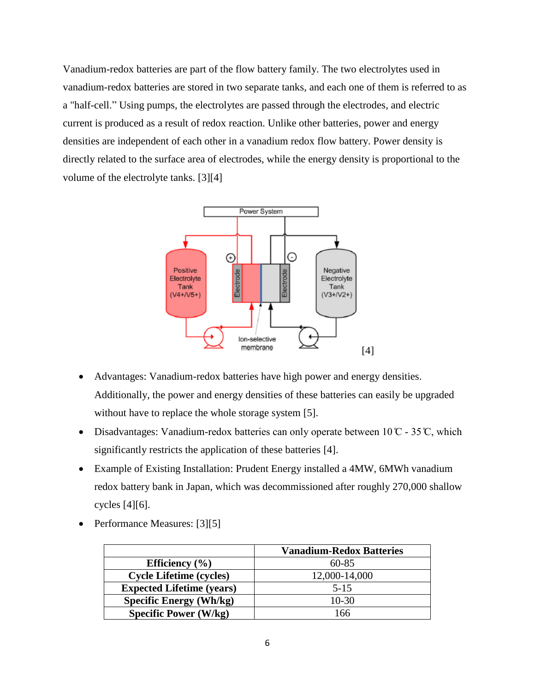Vanadium-redox batteries are part of the flow battery family. The two electrolytes used in vanadium-redox batteries are stored in two separate tanks, and each one of them is referred to as a "half-cell." Using pumps, the electrolytes are passed through the electrodes, and electric current is produced as a result of redox reaction. Unlike other batteries, power and energy densities are independent of each other in a vanadium redox flow battery. Power density is directly related to the surface area of electrodes, while the energy density is proportional to the volume of the electrolyte tanks. [3][4]



- Advantages: Vanadium-redox batteries have high power and energy densities. Additionally, the power and energy densities of these batteries can easily be upgraded without have to replace the whole storage system [5].
- Disadvantages: Vanadium-redox batteries can only operate between  $10^{\circ}\text{C}$  35 °C, which significantly restricts the application of these batteries [4].
- Example of Existing Installation: Prudent Energy installed a 4MW, 6MWh vanadium redox battery bank in Japan, which was decommissioned after roughly 270,000 shallow cycles [4][6].
	- **Vanadium-Redox Batteries Efficiency** (%) 60-85 **Cycle Lifetime (cycles)** 12,000-14,000 **Expected Lifetime (years)** 5-15 **Specific Energy (Wh/kg)** 10-30 **Specific Power (W/kg)** 166
- Performance Measures: [3][5]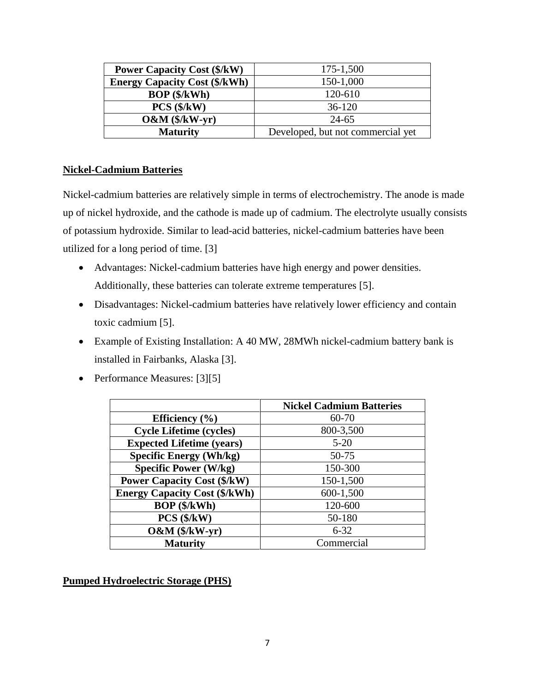| <b>Power Capacity Cost (\$/kW)</b>   | 175-1,500                         |  |  |  |  |
|--------------------------------------|-----------------------------------|--|--|--|--|
| <b>Energy Capacity Cost (\$/kWh)</b> | 150-1,000                         |  |  |  |  |
| $BOP$ ( $\frac{1}{2}$ /kWh)          | 120-610                           |  |  |  |  |
| $PCS$ ( $\frac{1}{2}$ /kW)           | $36-120$                          |  |  |  |  |
| $O&M(S/kW-yr)$                       | $24 - 65$                         |  |  |  |  |
| <b>Maturity</b>                      | Developed, but not commercial yet |  |  |  |  |

# **Nickel-Cadmium Batteries**

Nickel-cadmium batteries are relatively simple in terms of electrochemistry. The anode is made up of nickel hydroxide, and the cathode is made up of cadmium. The electrolyte usually consists of potassium hydroxide. Similar to lead-acid batteries, nickel-cadmium batteries have been utilized for a long period of time. [3]

- Advantages: Nickel-cadmium batteries have high energy and power densities. Additionally, these batteries can tolerate extreme temperatures [5].
- Disadvantages: Nickel-cadmium batteries have relatively lower efficiency and contain toxic cadmium [5].
- Example of Existing Installation: A 40 MW, 28MWh nickel-cadmium battery bank is installed in Fairbanks, Alaska [3].
- Performance Measures: [3][5]

|                                      | <b>Nickel Cadmium Batteries</b> |
|--------------------------------------|---------------------------------|
| Efficiency $(\% )$                   | 60-70                           |
| <b>Cycle Lifetime (cycles)</b>       | 800-3,500                       |
| <b>Expected Lifetime (years)</b>     | $5 - 20$                        |
| <b>Specific Energy (Wh/kg)</b>       | 50-75                           |
| <b>Specific Power (W/kg)</b>         | 150-300                         |
| <b>Power Capacity Cost (\$/kW)</b>   | 150-1,500                       |
| <b>Energy Capacity Cost (\$/kWh)</b> | 600-1,500                       |
| BOP (\$/kWh)                         | 120-600                         |
| $PCS$ ( $\frac{K}{W}$ )              | 50-180                          |
| $O&M(S/kW-yr)$                       | $6 - 32$                        |
| <b>Maturity</b>                      | Commercial                      |

# **Pumped Hydroelectric Storage (PHS)**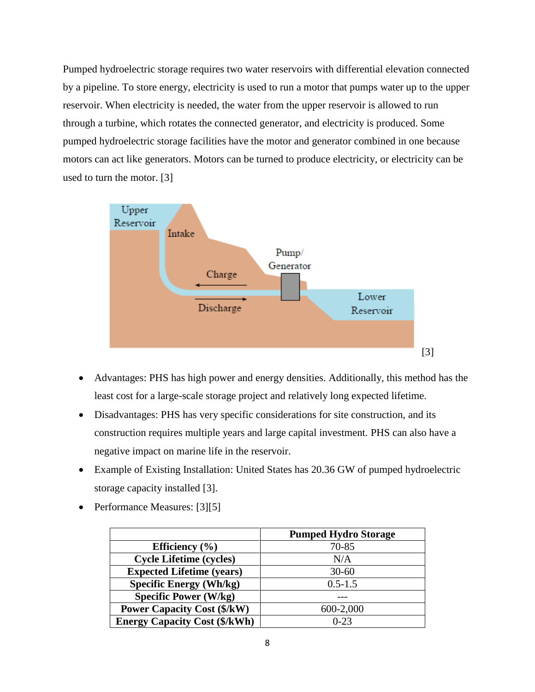Pumped hydroelectric storage requires two water reservoirs with differential elevation connected by a pipeline. To store energy, electricity is used to run a motor that pumps water up to the upper reservoir. When electricity is needed, the water from the upper reservoir is allowed to run through a turbine, which rotates the connected generator, and electricity is produced. Some pumped hydroelectric storage facilities have the motor and generator combined in one because motors can act like generators. Motors can be turned to produce electricity, or electricity can be used to turn the motor. [3]



- Advantages: PHS has high power and energy densities. Additionally, this method has the least cost for a large-scale storage project and relatively long expected lifetime.
- Disadvantages: PHS has very specific considerations for site construction, and its construction requires multiple years and large capital investment. PHS can also have a negative impact on marine life in the reservoir.
- Example of Existing Installation: United States has 20.36 GW of pumped hydroelectric storage capacity installed [3].
- Performance Measures: [3][5]

|                                      | <b>Pumped Hydro Storage</b> |
|--------------------------------------|-----------------------------|
| Efficiency $(\% )$                   | 70-85                       |
| <b>Cycle Lifetime (cycles)</b>       | N/A                         |
| <b>Expected Lifetime (years)</b>     | $30 - 60$                   |
| <b>Specific Energy (Wh/kg)</b>       | $0.5 - 1.5$                 |
| <b>Specific Power (W/kg)</b>         |                             |
| <b>Power Capacity Cost (\$/kW)</b>   | 600-2,000                   |
| <b>Energy Capacity Cost (\$/kWh)</b> | $0 - 23$                    |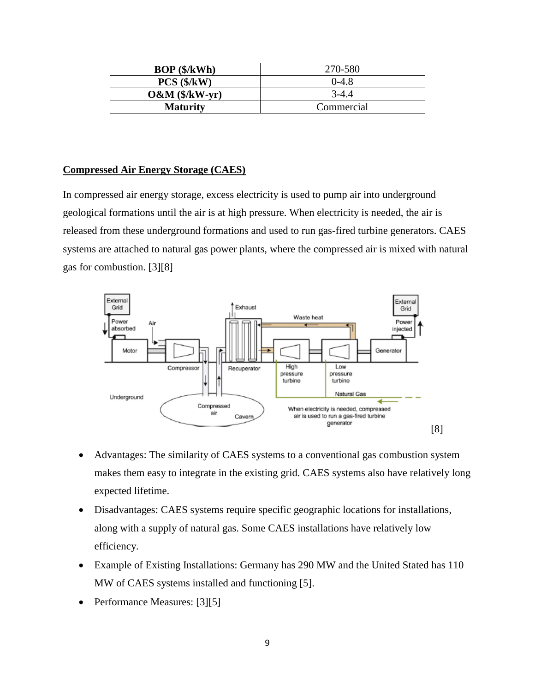| $BOP$ ( $\frac{1}{2}$ /kWh) | 270-580    |  |  |
|-----------------------------|------------|--|--|
| $PCS$ ( $\frac{K}{W}$ )     | $0 - 4.8$  |  |  |
| $O&M(S/kW-yr)$              | $3-4.4$    |  |  |
| <b>Maturity</b>             | Commercial |  |  |

#### **Compressed Air Energy Storage (CAES)**

In compressed air energy storage, excess electricity is used to pump air into underground geological formations until the air is at high pressure. When electricity is needed, the air is released from these underground formations and used to run gas-fired turbine generators. CAES systems are attached to natural gas power plants, where the compressed air is mixed with natural gas for combustion. [3][8]



- Advantages: The similarity of CAES systems to a conventional gas combustion system makes them easy to integrate in the existing grid. CAES systems also have relatively long expected lifetime.
- Disadvantages: CAES systems require specific geographic locations for installations, along with a supply of natural gas. Some CAES installations have relatively low efficiency.
- Example of Existing Installations: Germany has 290 MW and the United Stated has 110 MW of CAES systems installed and functioning [5].
- Performance Measures: [3][5]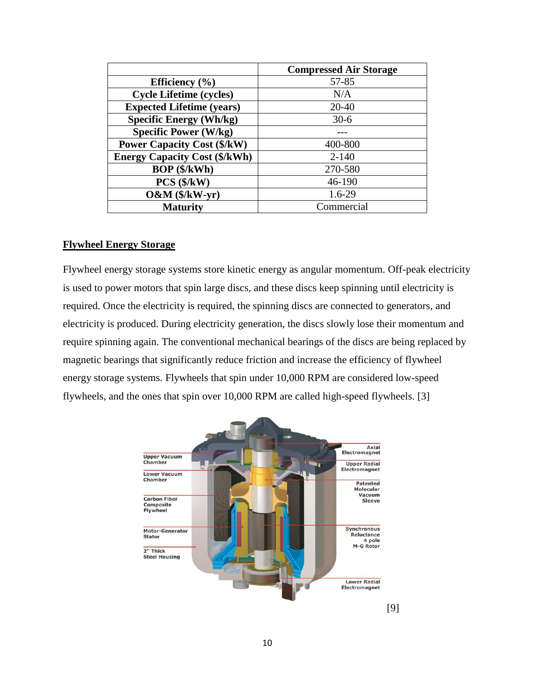|                                      | <b>Compressed Air Storage</b> |
|--------------------------------------|-------------------------------|
| Efficiency $(\% )$                   | 57-85                         |
| <b>Cycle Lifetime (cycles)</b>       | N/A                           |
| <b>Expected Lifetime (years)</b>     | $20 - 40$                     |
| <b>Specific Energy (Wh/kg)</b>       | $30-6$                        |
| <b>Specific Power (W/kg)</b>         |                               |
| <b>Power Capacity Cost (\$/kW)</b>   | 400-800                       |
| <b>Energy Capacity Cost (\$/kWh)</b> | $2 - 140$                     |
| BOP (\$/kWh)                         | 270-580                       |
| $PCS$ ( $\frac{K}{W}$ )              | 46-190                        |
| $O&M(S/kW-yr)$                       | $1.6 - 29$                    |
| <b>Maturity</b>                      | Commercial                    |

#### **Flywheel Energy Storage**

Flywheel energy storage systems store kinetic energy as angular momentum. Off-peak electricity is used to power motors that spin large discs, and these discs keep spinning until electricity is required. Once the electricity is required, the spinning discs are connected to generators, and electricity is produced. During electricity generation, the discs slowly lose their momentum and require spinning again. The conventional mechanical bearings of the discs are being replaced by magnetic bearings that significantly reduce friction and increase the efficiency of flywheel energy storage systems. Flywheels that spin under 10,000 RPM are considered low-speed flywheels, and the ones that spin over 10,000 RPM are called high-speed flywheels. [3]

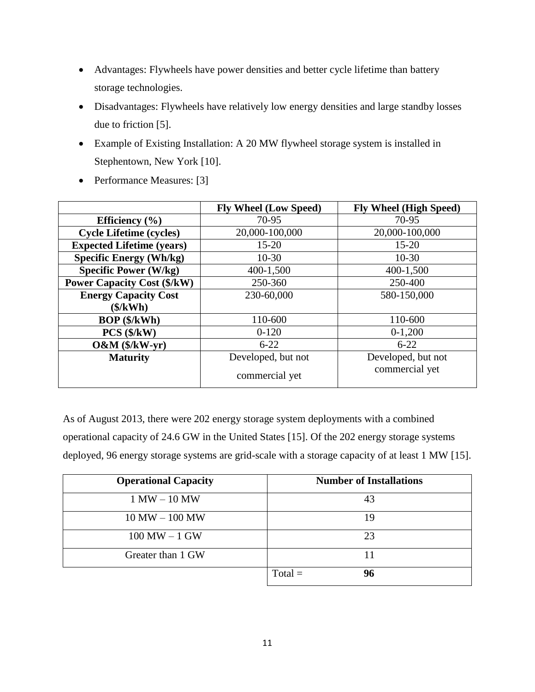- Advantages: Flywheels have power densities and better cycle lifetime than battery storage technologies.
- Disadvantages: Flywheels have relatively low energy densities and large standby losses due to friction [5].
- Example of Existing Installation: A 20 MW flywheel storage system is installed in Stephentown, New York [10].
- Performance Measures: [3]

|                                    | <b>Fly Wheel (Low Speed)</b> | <b>Fly Wheel (High Speed)</b> |  |  |
|------------------------------------|------------------------------|-------------------------------|--|--|
| Efficiency $(\% )$                 | 70-95                        | 70-95                         |  |  |
| <b>Cycle Lifetime (cycles)</b>     | 20,000-100,000               | 20,000-100,000                |  |  |
| <b>Expected Lifetime (years)</b>   | $15 - 20$                    | $15 - 20$                     |  |  |
| <b>Specific Energy (Wh/kg)</b>     | $10-30$                      | $10-30$                       |  |  |
| <b>Specific Power (W/kg)</b>       | 400-1,500                    | 400-1,500                     |  |  |
| <b>Power Capacity Cost (\$/kW)</b> | 250-360                      | 250-400                       |  |  |
| <b>Energy Capacity Cost</b>        | 230-60,000                   | 580-150,000                   |  |  |
| (\$/kWh)                           |                              |                               |  |  |
| <b>BOP</b> (\$/kWh)                | 110-600                      | 110-600                       |  |  |
| $PCS$ ( $\frac{K}{W}$ )            | $0-120$                      | $0-1,200$                     |  |  |
| $O&M(S/kW-yr)$                     | $6 - 22$                     | $6 - 22$                      |  |  |
| <b>Maturity</b>                    | Developed, but not           | Developed, but not            |  |  |
|                                    | commercial yet               | commercial yet                |  |  |

As of August 2013, there were 202 energy storage system deployments with a combined operational capacity of 24.6 GW in the United States [15]. Of the 202 energy storage systems deployed, 96 energy storage systems are grid-scale with a storage capacity of at least 1 MW [15].

| <b>Operational Capacity</b> | <b>Number of Installations</b> |
|-----------------------------|--------------------------------|
| $1 MW - 10 MW$              | 43                             |
| $10$ MW $-$ 100 MW          | 19                             |
| $100$ MW $-1$ GW            | 23                             |
| Greater than 1 GW           | 11                             |
|                             | $Total =$<br>96                |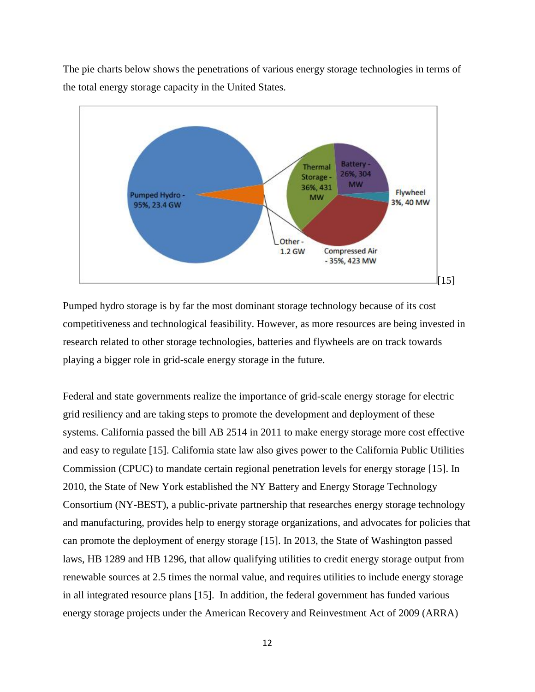The pie charts below shows the penetrations of various energy storage technologies in terms of the total energy storage capacity in the United States.



Pumped hydro storage is by far the most dominant storage technology because of its cost competitiveness and technological feasibility. However, as more resources are being invested in research related to other storage technologies, batteries and flywheels are on track towards playing a bigger role in grid-scale energy storage in the future.

Federal and state governments realize the importance of grid-scale energy storage for electric grid resiliency and are taking steps to promote the development and deployment of these systems. California passed the bill AB 2514 in 2011 to make energy storage more cost effective and easy to regulate [15]. California state law also gives power to the California Public Utilities Commission (CPUC) to mandate certain regional penetration levels for energy storage [15]. In 2010, the State of New York established the NY Battery and Energy Storage Technology Consortium (NY-BEST), a public-private partnership that researches energy storage technology and manufacturing, provides help to energy storage organizations, and advocates for policies that can promote the deployment of energy storage [15]. In 2013, the State of Washington passed laws, HB 1289 and HB 1296, that allow qualifying utilities to credit energy storage output from renewable sources at 2.5 times the normal value, and requires utilities to include energy storage in all integrated resource plans [15]. In addition, the federal government has funded various energy storage projects under the American Recovery and Reinvestment Act of 2009 (ARRA)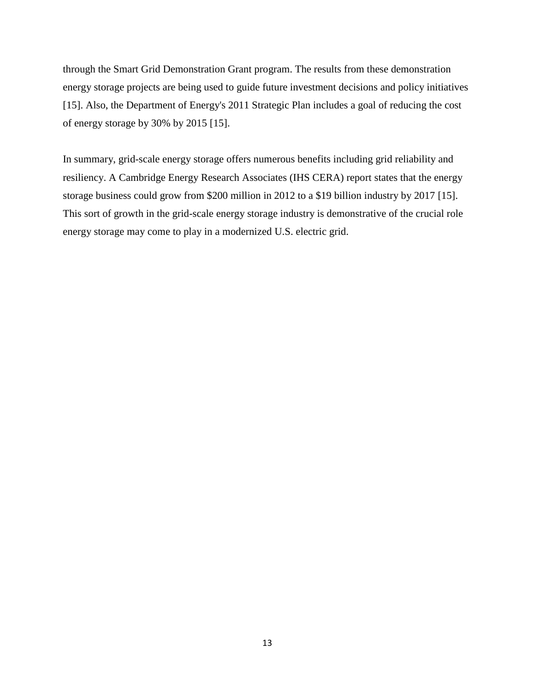through the Smart Grid Demonstration Grant program. The results from these demonstration energy storage projects are being used to guide future investment decisions and policy initiatives [15]. Also, the Department of Energy's 2011 Strategic Plan includes a goal of reducing the cost of energy storage by 30% by 2015 [15].

In summary, grid-scale energy storage offers numerous benefits including grid reliability and resiliency. A Cambridge Energy Research Associates (IHS CERA) report states that the energy storage business could grow from \$200 million in 2012 to a \$19 billion industry by 2017 [15]. This sort of growth in the grid-scale energy storage industry is demonstrative of the crucial role energy storage may come to play in a modernized U.S. electric grid.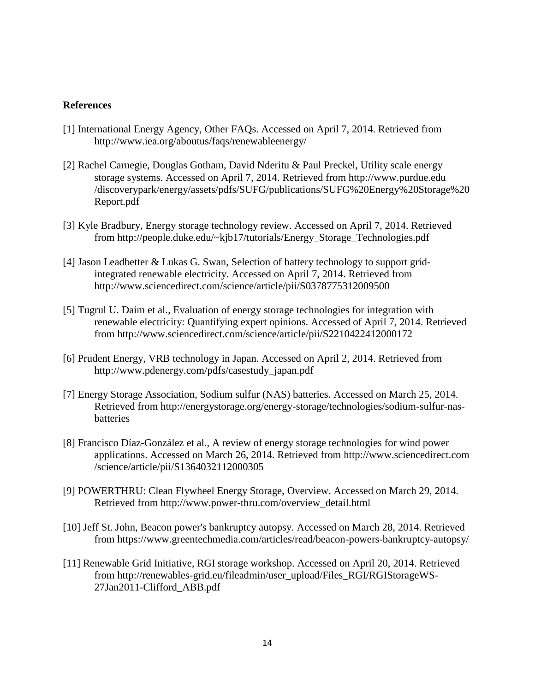#### **References**

- [1] International Energy Agency, Other FAQs. Accessed on April 7, 2014. Retrieved from http://www.iea.org/aboutus/faqs/renewableenergy/
- [2] Rachel Carnegie, Douglas Gotham, David Nderitu & Paul Preckel, Utility scale energy storage systems. Accessed on April 7, 2014. Retrieved from http://www.purdue.edu /discoverypark/energy/assets/pdfs/SUFG/publications/SUFG%20Energy%20Storage%20 Report.pdf
- [3] Kyle Bradbury, Energy storage technology review. Accessed on April 7, 2014. Retrieved from http://people.duke.edu/~kjb17/tutorials/Energy\_Storage\_Technologies.pdf
- [4] Jason Leadbetter & Lukas G. Swan, Selection of battery technology to support gridintegrated renewable electricity. Accessed on April 7, 2014. Retrieved from http://www.sciencedirect.com/science/article/pii/S0378775312009500
- [5] Tugrul U. Daim et al., Evaluation of energy storage technologies for integration with renewable electricity: Quantifying expert opinions. Accessed of April 7, 2014. Retrieved from http://www.sciencedirect.com/science/article/pii/S2210422412000172
- [6] Prudent Energy, VRB technology in Japan. Accessed on April 2, 2014. Retrieved from http://www.pdenergy.com/pdfs/casestudy\_japan.pdf
- [7] Energy Storage Association, Sodium sulfur (NAS) batteries. Accessed on March 25, 2014. Retrieved from http://energystorage.org/energy-storage/technologies/sodium-sulfur-nasbatteries
- [8] Francisco Díaz-González et al., A review of energy storage technologies for wind power applications. Accessed on March 26, 2014. Retrieved from http://www.sciencedirect.com /science/article/pii/S1364032112000305
- [9] POWERTHRU: Clean Flywheel Energy Storage, Overview. Accessed on March 29, 2014. Retrieved from http://www.power-thru.com/overview\_detail.html
- [10] Jeff St. John, Beacon power's bankruptcy autopsy. Accessed on March 28, 2014. Retrieved from https://www.greentechmedia.com/articles/read/beacon-powers-bankruptcy-autopsy/
- [11] Renewable Grid Initiative, RGI storage workshop. Accessed on April 20, 2014. Retrieved from http://renewables-grid.eu/fileadmin/user\_upload/Files\_RGI/RGIStorageWS-27Jan2011-Clifford\_ABB.pdf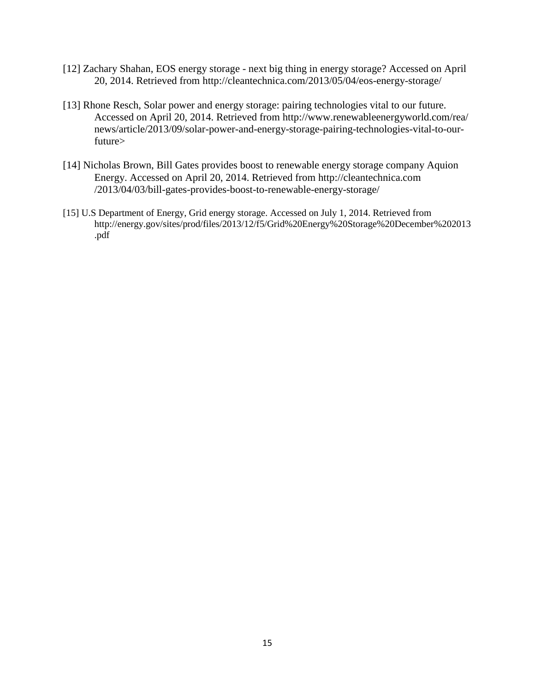- [12] Zachary Shahan, EOS energy storage next big thing in energy storage? Accessed on April 20, 2014. Retrieved from http://cleantechnica.com/2013/05/04/eos-energy-storage/
- [13] Rhone Resch, Solar power and energy storage: pairing technologies vital to our future. Accessed on April 20, 2014. Retrieved from http://www.renewableenergyworld.com/rea/ news/article/2013/09/solar-power-and-energy-storage-pairing-technologies-vital-to-ourfuture>
- [14] Nicholas Brown, Bill Gates provides boost to renewable energy storage company Aquion Energy. Accessed on April 20, 2014. Retrieved from http://cleantechnica.com /2013/04/03/bill-gates-provides-boost-to-renewable-energy-storage/
- [15] U.S Department of Energy, Grid energy storage. Accessed on July 1, 2014. Retrieved from http://energy.gov/sites/prod/files/2013/12/f5/Grid%20Energy%20Storage%20December%202013 .pdf